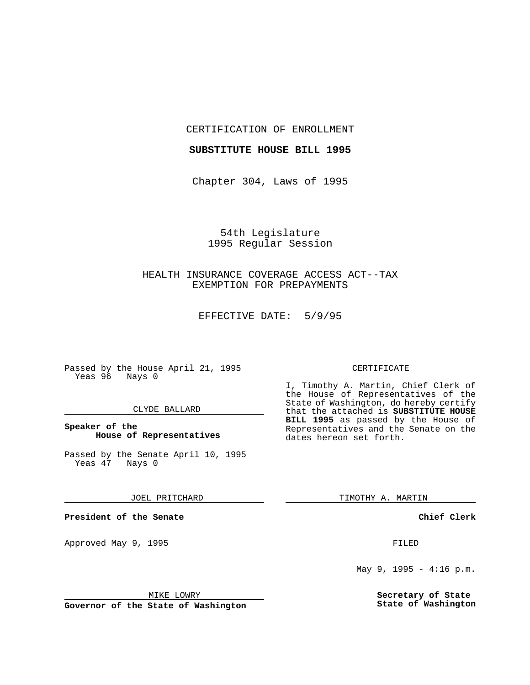CERTIFICATION OF ENROLLMENT

### **SUBSTITUTE HOUSE BILL 1995**

Chapter 304, Laws of 1995

54th Legislature 1995 Regular Session

# HEALTH INSURANCE COVERAGE ACCESS ACT--TAX EXEMPTION FOR PREPAYMENTS

EFFECTIVE DATE: 5/9/95

Passed by the House April 21, 1995 Yeas 96 Nays 0

### CLYDE BALLARD

### **Speaker of the House of Representatives**

Passed by the Senate April 10, 1995<br>Yeas 47 Nays 0 Yeas 47

JOEL PRITCHARD

**President of the Senate**

Approved May 9, 1995 **FILED** 

MIKE LOWRY

**Governor of the State of Washington**

#### CERTIFICATE

I, Timothy A. Martin, Chief Clerk of the House of Representatives of the State of Washington, do hereby certify that the attached is **SUBSTITUTE HOUSE BILL 1995** as passed by the House of Representatives and the Senate on the dates hereon set forth.

TIMOTHY A. MARTIN

**Chief Clerk**

May 9, 1995 - 4:16 p.m.

**Secretary of State State of Washington**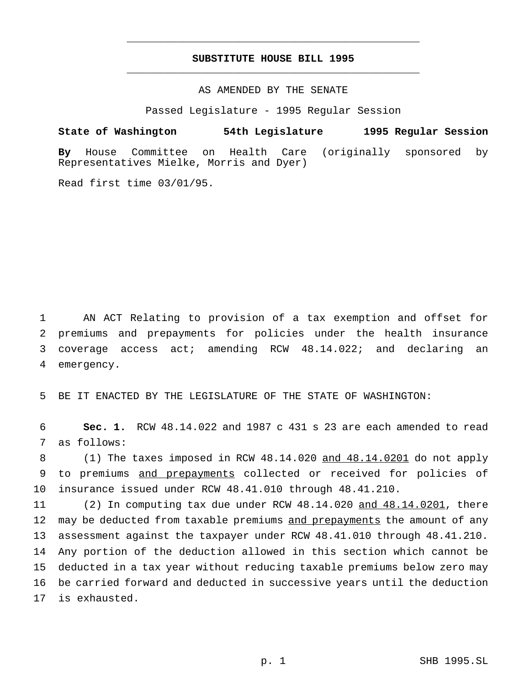## **SUBSTITUTE HOUSE BILL 1995** \_\_\_\_\_\_\_\_\_\_\_\_\_\_\_\_\_\_\_\_\_\_\_\_\_\_\_\_\_\_\_\_\_\_\_\_\_\_\_\_\_\_\_\_\_\_\_

\_\_\_\_\_\_\_\_\_\_\_\_\_\_\_\_\_\_\_\_\_\_\_\_\_\_\_\_\_\_\_\_\_\_\_\_\_\_\_\_\_\_\_\_\_\_\_

## AS AMENDED BY THE SENATE

Passed Legislature - 1995 Regular Session

## **State of Washington 54th Legislature 1995 Regular Session**

**By** House Committee on Health Care (originally sponsored by Representatives Mielke, Morris and Dyer)

Read first time 03/01/95.

 AN ACT Relating to provision of a tax exemption and offset for premiums and prepayments for policies under the health insurance coverage access act; amending RCW 48.14.022; and declaring an emergency.

5 BE IT ENACTED BY THE LEGISLATURE OF THE STATE OF WASHINGTON:

6 **Sec. 1.** RCW 48.14.022 and 1987 c 431 s 23 are each amended to read 7 as follows:

8 (1) The taxes imposed in RCW 48.14.020 and 48.14.0201 do not apply 9 to premiums and prepayments collected or received for policies of 10 insurance issued under RCW 48.41.010 through 48.41.210.

 (2) In computing tax due under RCW 48.14.020 and 48.14.0201, there 12 may be deducted from taxable premiums and prepayments the amount of any assessment against the taxpayer under RCW 48.41.010 through 48.41.210. Any portion of the deduction allowed in this section which cannot be deducted in a tax year without reducing taxable premiums below zero may be carried forward and deducted in successive years until the deduction is exhausted.